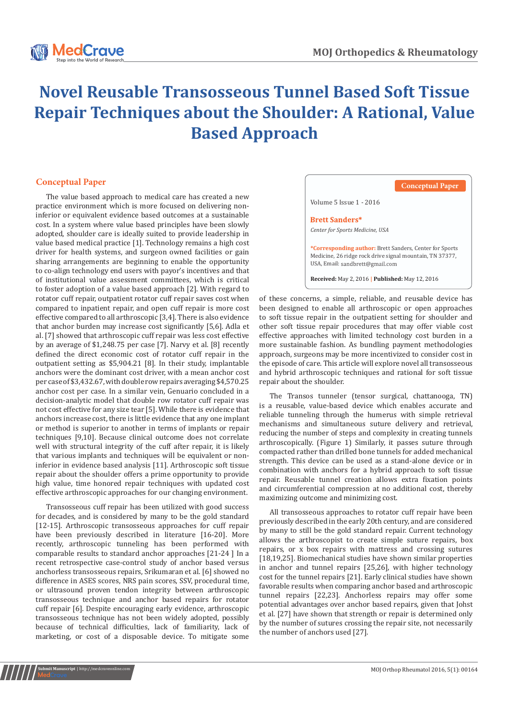

## **Novel Reusable Transosseous Tunnel Based Soft Tissue Repair Techniques about the Shoulder: A Rational, Value Based Approach**

## **Conceptual Paper**

rotator cuff repair, outpatient rotator cuff repair saves cost when compared to inpatient repair, and open cuff repair is more cost effective compared to all arthroscopic [3,4]. There is also evidence that anchor burden may increase cost significantly [5,6]. Adla et al. [7] showed that arthroscopic cuff repair was less cost effective by an average of \$1,248.75 per case [7]. Narvy et al. [8] recently defined the direct economic cost of rotator cuff repair in the outpatient setting as \$5,904.21 [8]. In their study, implantable anchors were the dominant cost driver, with a mean anchor cost per case of \$3,432.67, with double row repairs averaging \$4,570.25 anchor cost per case. In a similar vein, Genuario concluded in a decision-analytic model that double row rotator cuff repair was not cost effective for any size tear [5]. While there is evidence that anchors increase cost, there is little evidence that any one implant or method is superior to another in terms of implants or repair techniques [9,10]. Because clinical outcome does not correlate well with structural integrity of the cuff after repair, it is likely that various implants and techniques will be equivalent or noninferior in evidence based analysis [11]. Arthroscopic soft tissue repair about the shoulder offers a prime opportunity to provide high value, time honored repair techniques with updated cost effective arthroscopic approaches for our changing environment. The value based approach to medical care has created a new practice environment which is more focused on delivering noninferior or equivalent evidence based outcomes at a sustainable cost. In a system where value based principles have been slowly adopted, shoulder care is ideally suited to provide leadership in value based medical practice [1]. Technology remains a high cost driver for health systems, and surgeon owned facilities or gain sharing arrangements are beginning to enable the opportunity to co-align technology end users with payor's incentives and that of institutional value assessment committees, which is critical to foster adoption of a value based approach [2]. With regard to

Transosseous cuff repair has been utilized with good success for decades, and is considered by many to be the gold standard [12-15]. Arthroscopic transosseous approaches for cuff repair have been previously described in literature [16-20]. More recently, arthroscopic tunneling has been performed with comparable results to standard anchor approaches [21-24 ] In a recent retrospective case-control study of anchor based versus anchorless transosseous repairs, Srikumaran et al. [6] showed no difference in ASES scores, NRS pain scores, SSV, procedural time, or ultrasound proven tendon integrity between arthroscopic transosseous technique and anchor based repairs for rotator cuff repair [6]. Despite encouraging early evidence, arthroscopic transosseous technique has not been widely adopted, possibly because of technical difficulties, lack of familiarity, lack of marketing, or cost of a disposable device. To mitigate some



of these concerns, a simple, reliable, and reusable device has been designed to enable all arthroscopic or open approaches to soft tissue repair in the outpatient setting for shoulder and other soft tissue repair procedures that may offer viable cost effective approaches with limited technology cost burden in a more sustainable fashion. As bundling payment methodologies approach, surgeons may be more incentivized to consider cost in the episode of care. This article will explore novel all transosseous and hybrid arthroscopic techniques and rational for soft tissue repair about the shoulder.

The Transos tunneler (tensor surgical, chattanooga, TN) is a reusable, value-based device which enables accurate and reliable tunneling through the humerus with simple retrieval mechanisms and simultaneous suture delivery and retrieval, reducing the number of steps and complexity in creating tunnels arthroscopically. (Figure 1) Similarly, it passes suture through compacted rather than drilled bone tunnels for added mechanical strength. This device can be used as a stand-alone device or in combination with anchors for a hybrid approach to soft tissue repair. Reusable tunnel creation allows extra fixation points and circumferential compression at no additional cost, thereby maximizing outcome and minimizing cost.

All transosseous approaches to rotator cuff repair have been previously described in the early 20th century, and are considered by many to still be the gold standard repair. Current technology allows the arthroscopist to create simple suture repairs, box repairs, or x box repairs with mattress and crossing sutures [18,19,25]. Biomechanical studies have shown similar properties in anchor and tunnel repairs [25,26], with higher technology cost for the tunnel repairs [21]. Early clinical studies have shown favorable results when comparing anchor based and arthroscopic tunnel repairs [22,23]. Anchorless repairs may offer some potential advantages over anchor based repairs, given that Johst et al. [27] have shown that strength or repair is determined only by the number of sutures crossing the repair site, not necessarily the number of anchors used [27].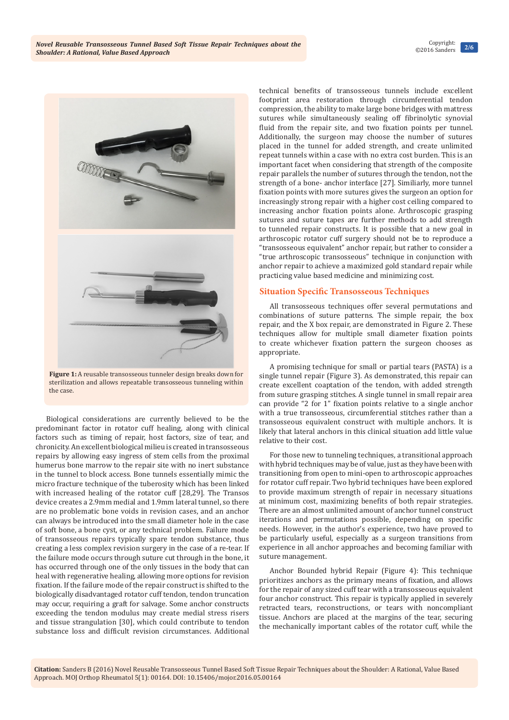

**Figure 1:** A reusable transosseous tunneler design breaks down for sterilization and allows repeatable transosseous tunneling within the case.

Biological considerations are currently believed to be the predominant factor in rotator cuff healing, along with clinical factors such as timing of repair, host factors, size of tear, and chronicity. An excellent biological milieu is created in transosseous repairs by allowing easy ingress of stem cells from the proximal humerus bone marrow to the repair site with no inert substance in the tunnel to block access. Bone tunnels essentially mimic the micro fracture technique of the tuberosity which has been linked with increased healing of the rotator cuff [28,29]. The Transos device creates a 2.9mm medial and 1.9mm lateral tunnel, so there are no problematic bone voids in revision cases, and an anchor can always be introduced into the small diameter hole in the case of soft bone, a bone cyst, or any technical problem. Failure mode of transosseous repairs typically spare tendon substance, thus creating a less complex revision surgery in the case of a re-tear. If the failure mode occurs through suture cut through in the bone, it has occurred through one of the only tissues in the body that can heal with regenerative healing, allowing more options for revision fixation. If the failure mode of the repair construct is shifted to the biologically disadvantaged rotator cuff tendon, tendon truncation may occur, requiring a graft for salvage. Some anchor constructs exceeding the tendon modulus may create medial stress risers and tissue strangulation [30], which could contribute to tendon substance loss and difficult revision circumstances. Additional

technical benefits of transosseous tunnels include excellent footprint area restoration through circumferential tendon compression, the ability to make large bone bridges with mattress sutures while simultaneously sealing off fibrinolytic synovial fluid from the repair site, and two fixation points per tunnel. Additionally, the surgeon may choose the number of sutures placed in the tunnel for added strength, and create unlimited repeat tunnels within a case with no extra cost burden. This is an important facet when considering that strength of the composite repair parallels the number of sutures through the tendon, not the strength of a bone- anchor interface [27]. Similiarly, more tunnel fixation points with more sutures gives the surgeon an option for increasingly strong repair with a higher cost ceiling compared to increasing anchor fixation points alone. Arthroscopic grasping sutures and suture tapes are further methods to add strength to tunneled repair constructs. It is possible that a new goal in arthroscopic rotator cuff surgery should not be to reproduce a "transosseous equivalent" anchor repair, but rather to consider a "true arthroscopic transosseous" technique in conjunction with anchor repair to achieve a maximized gold standard repair while practicing value based medicine and minimizing cost.

## **Situation Specific Transosseous Techniques**

All transosseous techniques offer several permutations and combinations of suture patterns. The simple repair, the box repair, and the X box repair, are demonstrated in Figure 2. These techniques allow for multiple small diameter fixation points to create whichever fixation pattern the surgeon chooses as appropriate.

A promising technique for small or partial tears (PASTA) is a single tunnel repair (Figure 3). As demonstrated, this repair can create excellent coaptation of the tendon, with added strength from suture grasping stitches. A single tunnel in small repair area can provide "2 for 1" fixation points relative to a single anchor with a true transosseous, circumferential stitches rather than a transosseous equivalent construct with multiple anchors. It is likely that lateral anchors in this clinical situation add little value relative to their cost.

For those new to tunneling techniques, a transitional approach with hybrid techniques may be of value, just as they have been with transitioning from open to mini-open to arthroscopic approaches for rotator cuff repair. Two hybrid techniques have been explored to provide maximum strength of repair in necessary situations at minimum cost, maximizing benefits of both repair strategies. There are an almost unlimited amount of anchor tunnel construct iterations and permutations possible, depending on specific needs. However, in the author's experience, two have proved to be particularly useful, especially as a surgeon transitions from experience in all anchor approaches and becoming familiar with suture management.

Anchor Bounded hybrid Repair (Figure 4): This technique prioritizes anchors as the primary means of fixation, and allows for the repair of any sized cuff tear with a transosseous equivalent four anchor construct. This repair is typically applied in severely retracted tears, reconstructions, or tears with noncompliant tissue. Anchors are placed at the margins of the tear, securing the mechanically important cables of the rotator cuff, while the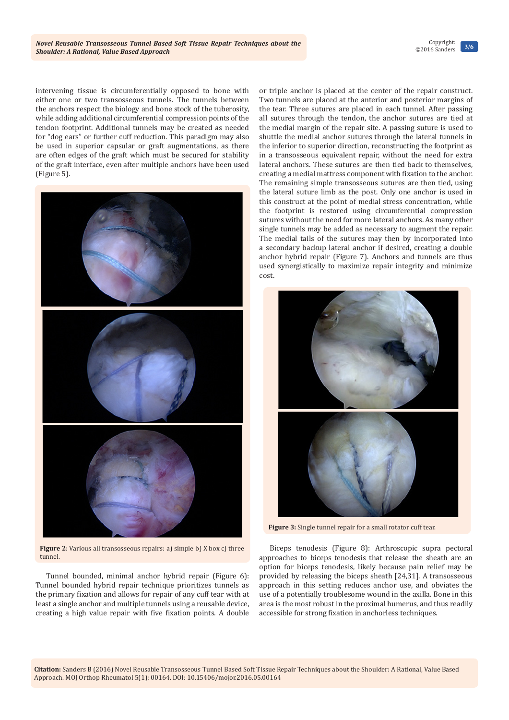**3/6** Copyright: ©2016 Sanders

intervening tissue is circumferentially opposed to bone with either one or two transosseous tunnels. The tunnels between the anchors respect the biology and bone stock of the tuberosity, while adding additional circumferential compression points of the tendon footprint. Additional tunnels may be created as needed for "dog ears" or further cuff reduction. This paradigm may also be used in superior capsular or graft augmentations, as there are often edges of the graft which must be secured for stability of the graft interface, even after multiple anchors have been used (Figure 5).



**Figure 2**: Various all transosseous repairs: a) simple b) X box c) three tunnel.

Tunnel bounded, minimal anchor hybrid repair (Figure 6): Tunnel bounded hybrid repair technique prioritizes tunnels as the primary fixation and allows for repair of any cuff tear with at least a single anchor and multiple tunnels using a reusable device, creating a high value repair with five fixation points. A double

or triple anchor is placed at the center of the repair construct. Two tunnels are placed at the anterior and posterior margins of the tear. Three sutures are placed in each tunnel. After passing all sutures through the tendon, the anchor sutures are tied at the medial margin of the repair site. A passing suture is used to shuttle the medial anchor sutures through the lateral tunnels in the inferior to superior direction, reconstructing the footprint as in a transosseous equivalent repair, without the need for extra lateral anchors. These sutures are then tied back to themselves, creating a medial mattress component with fixation to the anchor. The remaining simple transosseous sutures are then tied, using the lateral suture limb as the post. Only one anchor is used in this construct at the point of medial stress concentration, while the footprint is restored using circumferential compression sutures without the need for more lateral anchors. As many other single tunnels may be added as necessary to augment the repair. The medial tails of the sutures may then by incorporated into a secondary backup lateral anchor if desired, creating a double anchor hybrid repair (Figure 7). Anchors and tunnels are thus used synergistically to maximize repair integrity and minimize cost.



**Figure 3:** Single tunnel repair for a small rotator cuff tear.

Biceps tenodesis (Figure 8): Arthroscopic supra pectoral approaches to biceps tenodesis that release the sheath are an option for biceps tenodesis, likely because pain relief may be provided by releasing the biceps sheath [24,31]. A transosseous approach in this setting reduces anchor use, and obviates the use of a potentially troublesome wound in the axilla. Bone in this area is the most robust in the proximal humerus, and thus readily accessible for strong fixation in anchorless techniques.

**Citation:** Sanders B (2016) Novel Reusable Transosseous Tunnel Based Soft Tissue Repair Techniques about the Shoulder: A Rational, Value Based Approach. MOJ Orthop Rheumatol 5(1): 00164. DOI: [10.15406/mojor.2016.05.00164](http://dx.doi.org/10.15406/mojor.2016.05.00164)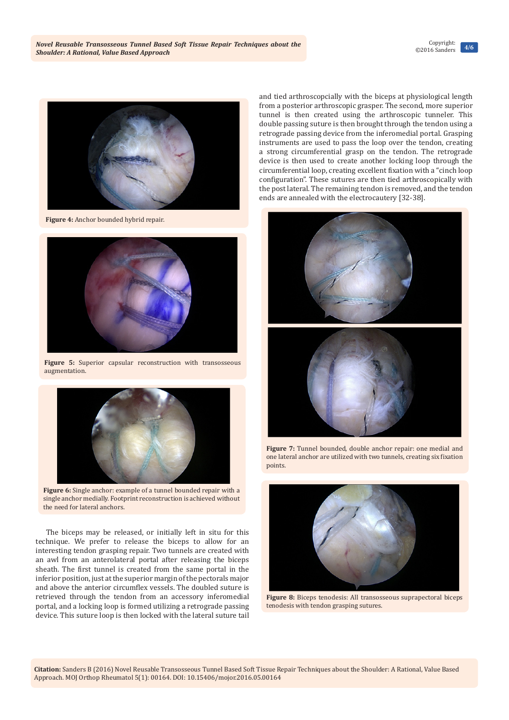

 **Figure 4:** Anchor bounded hybrid repair.



**Figure 5:** Superior capsular reconstruction with transosseous augmentation.



**Figure 6:** Single anchor: example of a tunnel bounded repair with a single anchor medially. Footprint reconstruction is achieved without the need for lateral anchors.

The biceps may be released, or initially left in situ for this technique. We prefer to release the biceps to allow for an interesting tendon grasping repair. Two tunnels are created with an awl from an anterolateral portal after releasing the biceps sheath. The first tunnel is created from the same portal in the inferior position, just at the superior margin of the pectorals major and above the anterior circumflex vessels. The doubled suture is retrieved through the tendon from an accessory inferomedial portal, and a locking loop is formed utilizing a retrograde passing device. This suture loop is then locked with the lateral suture tail

and tied arthroscopcially with the biceps at physiological length from a posterior arthroscopic grasper. The second, more superior tunnel is then created using the arthroscopic tunneler. This double passing suture is then brought through the tendon using a retrograde passing device from the inferomedial portal. Grasping instruments are used to pass the loop over the tendon, creating a strong circumferential grasp on the tendon. The retrograde device is then used to create another locking loop through the circumferential loop, creating excellent fixation with a "cinch loop configuration". These sutures are then tied arthroscopically with the post lateral. The remaining tendon is removed, and the tendon ends are annealed with the electrocautery [32-38].



**Figure 7:** Tunnel bounded, double anchor repair: one medial and one lateral anchor are utilized with two tunnels, creating six fixation points.



**Figure 8:** Biceps tenodesis: All transosseous suprapectoral biceps tenodesis with tendon grasping sutures.

**Citation:** Sanders B (2016) Novel Reusable Transosseous Tunnel Based Soft Tissue Repair Techniques about the Shoulder: A Rational, Value Based Approach. MOJ Orthop Rheumatol 5(1): 00164. DOI: [10.15406/mojor.2016.05.00164](http://dx.doi.org/10.15406/mojor.2016.05.00164)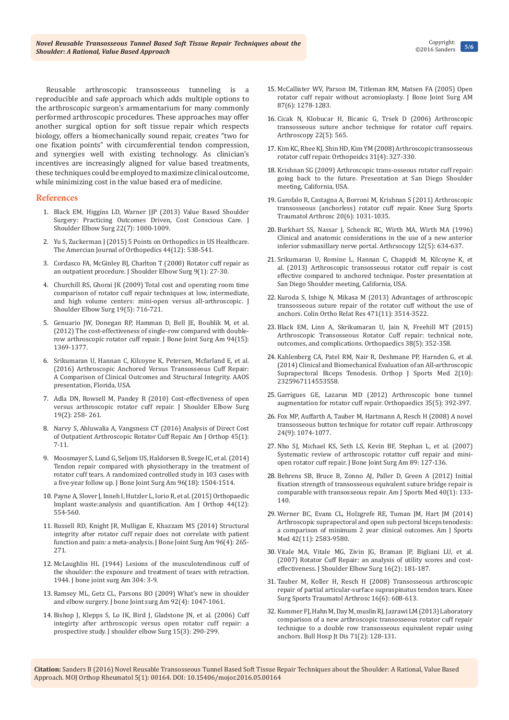**5/6** Copyright: ©2016 Sanders

Reusable arthroscopic transosseous tunneling is a reproducible and safe approach which adds multiple options to the arthroscopic surgeon's armamentarium for many commonly performed arthroscopic procedures. These approaches may offer another surgical option for soft tissue repair which respects biology, offers a biomechanically sound repair, creates "two for one fixation points" with circumferential tendon compression, and synergies well with existing technology. As clinician's incentives are increasingly aligned for value based treatments, these techniques could be employed to maximize clinical outcome, while minimizing cost in the value based era of medicine.

## **References**

- 1. [Black EM, Higgins LD, Warner JJP \(2013\) Value Based Shoulder](http://www.ncbi.nlm.nih.gov/pubmed/23659804)  [Surgery: Practicing Outcomes Driven, Cost Conscious Care. J](http://www.ncbi.nlm.nih.gov/pubmed/23659804)  [Shoulder Elbow Surg 22\(7\): 1000-1009.](http://www.ncbi.nlm.nih.gov/pubmed/23659804)
- 2. [Yu S, Zuckerman J \(2015\) 5 Points on Orthopedics in US Healthcare.](http://www.amjorthopedics.com/articles/5-points/article/orthopedics-in-us-health-care/21f2f5a15792439d128f0336a3959d5e.html)  [The Amercian Journal of Orthopedics 44\(12\): 538-541.](http://www.amjorthopedics.com/articles/5-points/article/orthopedics-in-us-health-care/21f2f5a15792439d128f0336a3959d5e.html)
- 3. [Cordasco FA, McGinley BJ, Charlton T \(2000\) Rotator cuff repair as](http://www.ncbi.nlm.nih.gov/pubmed/10717859)  [an outpatient procedure. J Shoulder Elbow Surg 9\(1\): 27-30.](http://www.ncbi.nlm.nih.gov/pubmed/10717859)
- 4. [Churchill RS, Ghorai JK \(2009\) Total cost and operating room time](http://www.ncbi.nlm.nih.gov/pubmed/20137974)  [comparison of rotator cuff repair techniques at low, intermediate,](http://www.ncbi.nlm.nih.gov/pubmed/20137974)  [and high volume centers: mini-open versus all-arthroscopic. J](http://www.ncbi.nlm.nih.gov/pubmed/20137974)  [Shoulder Elbow Surg 19\(5\): 716-721.](http://www.ncbi.nlm.nih.gov/pubmed/20137974)
- 5. [Genuario JW, Donegan RP, Hamman D, Bell JE, Boublik M, et al.](http://www.ncbi.nlm.nih.gov/pubmed/22854989)  [\(2012\) The cost-effectiveness of single-row compared with double](http://www.ncbi.nlm.nih.gov/pubmed/22854989)[row arthroscopic rotator cuff repair. J Bone Joint Surg Am 94\(15\):](http://www.ncbi.nlm.nih.gov/pubmed/22854989)  [1369-1377.](http://www.ncbi.nlm.nih.gov/pubmed/22854989)
- 6. Srikumaran U, Hannan C, Kilcoyne K, Petersen, Mcfarland E, et al. (2016) Arthroscopic Anchored Versus Transosseous Cuff Repair: A Comparison of Clinical Outcomes and Structural Integrity. AAOS presentation, Florida, USA.
- 7. [Adla DN, Rowsell M, Pandey R \(2010\) Cost-effectiveness of open](http://www.ncbi.nlm.nih.gov/pubmed/19574063)  [versus arthroscopic rotator cuff repair. J Shoulder Elbow Surg](http://www.ncbi.nlm.nih.gov/pubmed/19574063)  [19\(2\): 258- 261.](http://www.ncbi.nlm.nih.gov/pubmed/19574063)
- 8. [Narvy S, Ahluwalia A, Vangsness CT \(2016\) Analysis of Direct Cost](http://www.ncbi.nlm.nih.gov/pubmed/26761928)  [of Outpatient Arthroscopic Rotator Cuff Repair. Am J Orthop 45\(1\):](http://www.ncbi.nlm.nih.gov/pubmed/26761928)  [7-11.](http://www.ncbi.nlm.nih.gov/pubmed/26761928)
- 9. [Moosmayer S, Lund G, Seljom US, Haldorsen B, Svege IC, et al. \(2014\)](http://www.ncbi.nlm.nih.gov/pubmed/25232074)  [Tendon repair compared with physiotherapy in the treatment of](http://www.ncbi.nlm.nih.gov/pubmed/25232074)  [rotator cuff tears. A randomized controlled study in 103 cases with](http://www.ncbi.nlm.nih.gov/pubmed/25232074)  [a five-year follow up. J Bone Joint Surg Am 96\(18\): 1504-1514.](http://www.ncbi.nlm.nih.gov/pubmed/25232074)
- 10. [Payne A, Slover J, Inneh I, Hutzler L, Iorio R, et al. \(2015\) Orthopaedic](http://www.ncbi.nlm.nih.gov/pubmed/26665242)  [Implant waste:analysis and quantification. Am J Orthop 44\(12\):](http://www.ncbi.nlm.nih.gov/pubmed/26665242)  [554-560.](http://www.ncbi.nlm.nih.gov/pubmed/26665242)
- 11. [Russell RD, Knight JR, Mulligan E, Khazzam MS \(2014\) Structural](http://www.ncbi.nlm.nih.gov/pubmed/24553881)  [integrity after rotator cuff repair does not correlate with patient](http://www.ncbi.nlm.nih.gov/pubmed/24553881)  [function and pain: a meta-analysis. J Bone Joint Surg Am 96\(4\): 265-](http://www.ncbi.nlm.nih.gov/pubmed/24553881) [271.](http://www.ncbi.nlm.nih.gov/pubmed/24553881)
- 12. [McLaughlin HL \(1944\) Lesions of the musculotendinous cuff of](http://www.ncbi.nlm.nih.gov/pubmed/8020230)  [the shoulder: the exposure and treatment of tears with retraction.](http://www.ncbi.nlm.nih.gov/pubmed/8020230)  [1944. J bone joint surg Am 304: 3-9.](http://www.ncbi.nlm.nih.gov/pubmed/8020230)
- 13. [Ramsey ML, Getz CL, Parsons BO \(2009\) What's new in shoulder](http://www.ncbi.nlm.nih.gov/pubmed/20360533)  [and elbow surgery. J bone Joint surg Am 92\(4\): 1047-1061.](http://www.ncbi.nlm.nih.gov/pubmed/20360533)
- 14. [Bishop J, Klepps S, Lo IK, Bird J, Gladstone JN, et al. \(2006\) Cuff](http://www.ncbi.nlm.nih.gov/pubmed/16679227)  [integirty after arthroscopic versus open rotator cuff repair: a](http://www.ncbi.nlm.nih.gov/pubmed/16679227)  [prospective study. J shoulder elbow Surg 15\(3\): 290-299.](http://www.ncbi.nlm.nih.gov/pubmed/16679227)
- 15. [McCallister WV, Parson IM, Titleman RM, Matsen FA \(2005\) Open](http://www.ncbi.nlm.nih.gov/pubmed/15930537)  [rotator cuff repair without acromioplasty. J Bone Joint Surg AM](http://www.ncbi.nlm.nih.gov/pubmed/15930537)  [87\(6\): 1278-1283.](http://www.ncbi.nlm.nih.gov/pubmed/15930537)
- 16. [Cicak N, Klobucar H, Bicanic G, Trsek D \(2006\) Arthroscopic](http://www.ncbi.nlm.nih.gov/pubmed/16651169)  [transosseous suture anchor technique for rotator cuff repairs.](http://www.ncbi.nlm.nih.gov/pubmed/16651169)  [Arthroscopy 22\(5\): 565.](http://www.ncbi.nlm.nih.gov/pubmed/16651169)
- 17. [Kim KC, Rhee KJ, Shin HD, Kim YM \(2008\) Arthroscopic transosseous](http://www.ncbi.nlm.nih.gov/pubmed/18453167)  [rotator cuff repair. Orthopeidcs 31\(4\): 327-330.](http://www.ncbi.nlm.nih.gov/pubmed/18453167)
- 18. Krishnan SG (2009) Arthroscopic trans-osseous rotator cuff repair: going back to the future. Presentation at San Diego Shoulder meeting, California, USA.
- 19. [Garofalo R, Castagna A, Borroni M, Krishnan S \(2011\) Arthroscopic](http://www.ncbi.nlm.nih.gov/pubmed/22011882)  [transosseous \(anchorless\) rotator cuff repair. Knee Surg Sports](http://www.ncbi.nlm.nih.gov/pubmed/22011882)  [Traumatol Arthrosc 20\(6\): 1031-1035.](http://www.ncbi.nlm.nih.gov/pubmed/22011882)
- 20. [Burkhart SS, Nassar J, Schenck RC, Wirth MA, Wirth MA \(1996\)](http://europepmc.org/abstract/med/8902141)  [Clinical and anatomic considerations in the use of a new anterior](http://europepmc.org/abstract/med/8902141)  [inferior submaxillary nerve portal. Arthrsocopy 12\(5\): 634-637.](http://europepmc.org/abstract/med/8902141)
- 21. [Srikumaran U, Romine L, Hannan C, Chappidi M, Kilcoyne K, et](https://www.isakos.com/meetings/2015congress/AbstractView?EventID=8030)  [al. \(2013\) Arthroscopic transosseous rotator cuff repair is cost](https://www.isakos.com/meetings/2015congress/AbstractView?EventID=8030)  [effective compared to anchored technique. Poster presentation at](https://www.isakos.com/meetings/2015congress/AbstractView?EventID=8030)  [San Diego Shoulder meeting, California, USA.](https://www.isakos.com/meetings/2015congress/AbstractView?EventID=8030)
- 22. [Kuroda S, Ishige N, Mikasa M \(2013\) Advantages of arthroscopic](http://www.ncbi.nlm.nih.gov/pubmed/23836242)  [transosseous suture repair of the rotator cuff without the use of](http://www.ncbi.nlm.nih.gov/pubmed/23836242)  [anchors. Colin Ortho Relat Res 471\(11\): 3514-3522.](http://www.ncbi.nlm.nih.gov/pubmed/23836242)
- 23. [Black EM, Linn A, Skrikumaran U, Jain N, Freehill MT \(2015\)](http://www.ncbi.nlm.nih.gov/pubmed/25970360)  [Arthroscopic Transosseous Rotator Cuff repair: technical note,](http://www.ncbi.nlm.nih.gov/pubmed/25970360)  [outcomes, and complications. Orthopaedics 38\(5\): 352-358.](http://www.ncbi.nlm.nih.gov/pubmed/25970360)
- 24. [Kahlenberg CA, Patel RM, Nair R, Deshmane PP, Harnden G, et al.](http://www.ncbi.nlm.nih.gov/pubmed/26535276/)  [\(2014\) Clinical and Biomechanical Evaluation of an All-arthroscopic](http://www.ncbi.nlm.nih.gov/pubmed/26535276/)  [Suprapectoral Biceps Tenodesis. Orthop J Sports Med 2\(10\):](http://www.ncbi.nlm.nih.gov/pubmed/26535276/)  [2325967114553558.](http://www.ncbi.nlm.nih.gov/pubmed/26535276/)
- 25. [Garrigues GE, Lazarus MD \(2012\) Arthroscopic bone tunnel](http://www.ncbi.nlm.nih.gov/pubmed/22588393)  [augmentation for rotator cuff repair. Orthopaedics 35\(5\): 392-397.](http://www.ncbi.nlm.nih.gov/pubmed/22588393)
- 26. [Fox MP, Auffarth A, Tauber M, Hartmann A, Resch H \(2008\) A novel](http://www.ncbi.nlm.nih.gov/pubmed/18760216)  [transosseous button technique for rotator cuff repair. Arthroscopy](http://www.ncbi.nlm.nih.gov/pubmed/18760216)  [24\(9\): 1074-1077.](http://www.ncbi.nlm.nih.gov/pubmed/18760216)
- 27. [Nho SJ, Michael KS, Seth LS, Kevin BF, Stephan L, et al. \(2007\)](http://www.shanenhomd.com/pdf/articles/systematic-review-of%20arthroscopic-rotator-cuff-repair.pdf)  [Systematic review of arthroscopic rotattor cuff repair and mini](http://www.shanenhomd.com/pdf/articles/systematic-review-of%20arthroscopic-rotator-cuff-repair.pdf)[open rotator cuff repair. J Bone Joint Surg Am 89: 127-136.](http://www.shanenhomd.com/pdf/articles/systematic-review-of%20arthroscopic-rotator-cuff-repair.pdf)
- 28. [Behrens SB, Bruce B, Zonno AJ, Paller D, Green A \(2012\) Initial](http://www.ncbi.nlm.nih.gov/pubmed/22088578)  [fixation strength of transosseous equivalent suture bridge repair is](http://www.ncbi.nlm.nih.gov/pubmed/22088578)  [comparable with transosseous repair. Am J Sports Med 40\(1\): 133-](http://www.ncbi.nlm.nih.gov/pubmed/22088578) [140.](http://www.ncbi.nlm.nih.gov/pubmed/22088578)
- 29. [Werner BC, Evans CL, Holzgrefe RE, Tuman JM, Hart JM \(2014\)](http://www.ncbi.nlm.nih.gov/pubmed/25201442)  [Arthroscopic suprapectoral and open sub pectoral biceps tenodesis:](http://www.ncbi.nlm.nih.gov/pubmed/25201442)  [a comparison of minimum 2 year clinical outcomes. Am J Sports](http://www.ncbi.nlm.nih.gov/pubmed/25201442)  [Med 42\(11\): 2583-9580.](http://www.ncbi.nlm.nih.gov/pubmed/25201442)
- 30. [Vitale MA, Vitale MG, Zivin JG, Braman JP, Bigliani LU, et al.](http://www.ncbi.nlm.nih.gov/pubmed/17399623)  [\(2007\) Rotator Cuff Repair: an analysis of utility scores and cost](http://www.ncbi.nlm.nih.gov/pubmed/17399623)[effectiveness. J Shoulder Elbow Surg 16\(2\): 181-187.](http://www.ncbi.nlm.nih.gov/pubmed/17399623)
- 31. [Tauber M, Koller H, Resch H \(2008\) Transosseous arthroscopic](http://www.ncbi.nlm.nih.gov/pubmed/18418574)  [repair of partial articular-surface supraspinatus tendon tears. Knee](http://www.ncbi.nlm.nih.gov/pubmed/18418574)  [Surg Sports Traumatol Arthrosc 16\(6\): 608-613.](http://www.ncbi.nlm.nih.gov/pubmed/18418574)
- 32. [Kummer FJ, Hahn M, Day M, muslin RJ, Jazrawi LM \(2013\) Laboratory](http://www.ncbi.nlm.nih.gov/pubmed/24032613)  [comparison of a new arthroscopic transosseous rotator cuff repair](http://www.ncbi.nlm.nih.gov/pubmed/24032613)  [technique to a double row transosseous equivalent repair using](http://www.ncbi.nlm.nih.gov/pubmed/24032613)  [anchors. Bull Hosp Jt Dis 71\(2\): 128-131.](http://www.ncbi.nlm.nih.gov/pubmed/24032613)

**Citation:** Sanders B (2016) Novel Reusable Transosseous Tunnel Based Soft Tissue Repair Techniques about the Shoulder: A Rational, Value Based Approach. MOJ Orthop Rheumatol 5(1): 00164. DOI: [10.15406/mojor.2016.05.00164](http://dx.doi.org/10.15406/mojor.2016.05.00164)